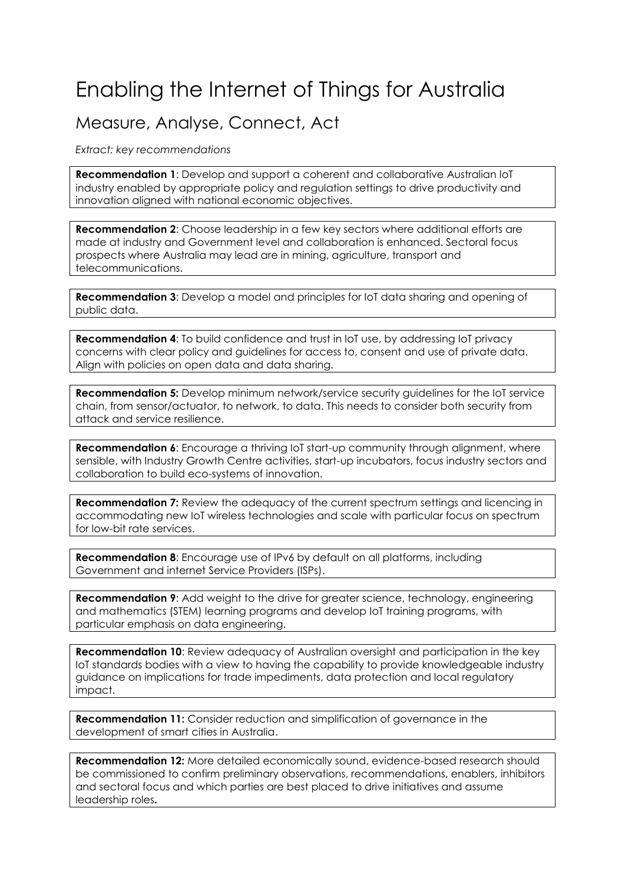## Enabling the Internet of Things for Australia

## Measure, Analyse, Connect, Act

*Extract: key recommendations* 

**Recommendation 1**: Develop and support a coherent and collaborative Australian IoT industry enabled by appropriate policy and regulation settings to drive productivity and innovation aligned with national economic objectives.

**Recommendation 2**: Choose leadership in a few key sectors where additional efforts are made at industry and Government level and collaboration is enhanced. Sectoral focus prospects where Australia may lead are in mining, agriculture, transport and telecommunications.

**Recommendation 3**: Develop a model and principles for IoT data sharing and opening of public data.

**Recommendation 4:** To build confidence and trust in IoT use, by addressing IoT privacy concerns with clear policy and guidelines for access to, consent and use of private data. Align with policies on open data and data sharing.

**Recommendation 5:** Develop minimum network/service security guidelines for the IoT service chain, from sensor/actuator, to network, to data. This needs to consider both security from attack and service resilience.

**Recommendation 6:** Encourage a thriving IoT start-up community through alignment, where sensible, with Industry Growth Centre activities, start-up incubators, focus industry sectors and collaboration to build eco-systems of innovation.

**Recommendation 7:** Review the adequacy of the current spectrum settings and licencing in accommodating new IoT wireless technologies and scale with particular focus on spectrum for low-bit rate services.

**Recommendation 8**: Encourage use of IPv6 by default on all platforms, including Government and internet Service Providers (ISPs).

**Recommendation 9:** Add weight to the drive for greater science, technology, engineering and mathematics (STEM) learning programs and develop IoT training programs, with particular emphasis on data engineering.

**Recommendation 10**: Review adequacy of Australian oversight and participation in the key IoT standards bodies with a view to having the capability to provide knowledgeable industry guidance on implications for trade impediments, data protection and local regulatory impact.

**Recommendation 11:** Consider reduction and simplification of governance in the development of smart cities in Australia.

**Recommendation 12:** More detailed economically sound, evidence-based research should be commissioned to confirm preliminary observations, recommendations, enablers, inhibitors and sectoral focus and which parties are best placed to drive initiatives and assume leadership roles**.**